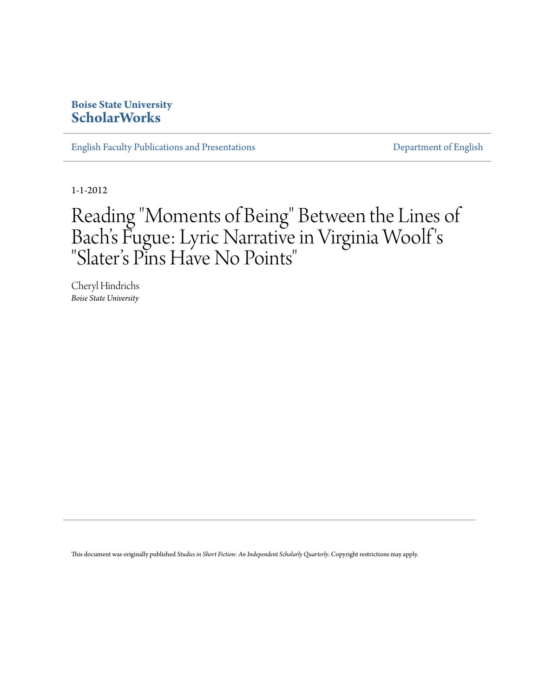# **Boise State University [ScholarWorks](https://scholarworks.boisestate.edu)**

[English Faculty Publications and Presentations](https://scholarworks.boisestate.edu/english_facpubs) **[Department of English](https://scholarworks.boisestate.edu/english)** 

1-1-2012

# Reading "Moments of Being" Between the Lines of Bach's Fugue: Lyric Narrative in Virginia Woolf ' s "Slater 's Pins Have No Points "

Cheryl Hindrichs *Boise State University*

This document was originally published *Studies in Short Fiction: An Independent Scholarly Quarterly*. Copyright restrictions may apply.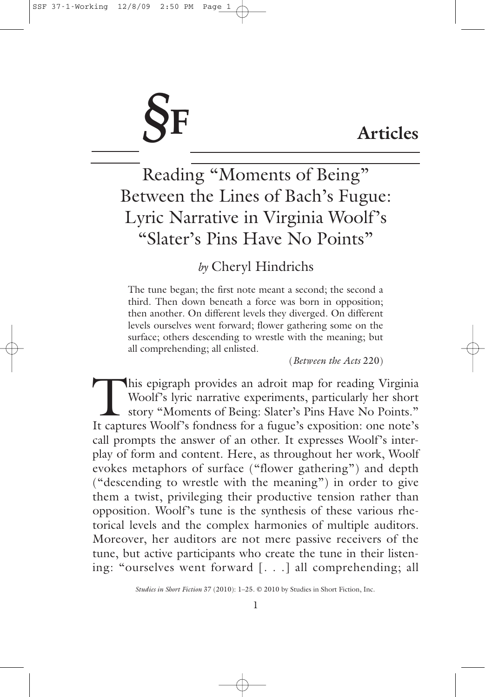# *§***F**

# **Articles**

Reading "Moments of Being" Between the Lines of Bach's Fugue: Lyric Narrative in Virginia Woolf's "Slater's Pins Have No Points"

# *by* Cheryl Hindrichs

The tune began; the first note meant a second; the second a third. Then down beneath a force was born in opposition; then another. On different levels they diverged. On different levels ourselves went forward; flower gathering some on the surface; others descending to wrestle with the meaning; but all comprehending; all enlisted.

(*Between the Acts* 220)

This epigraph provides an adroit map for reading Virginia<br>Woolf's lyric narrative experiments, particularly her short<br>story "Moments of Being: Slater's Pins Have No Points." Woolf's lyric narrative experiments, particularly her short story "Moments of Being: Slater's Pins Have No Points." It captures Woolf's fondness for a fugue's exposition: one note's call prompts the answer of an other. It expresses Woolf's interplay of form and content. Here, as throughout her work, Woolf evokes metaphors of surface ("flower gathering") and depth ("descending to wrestle with the meaning") in order to give them a twist, privileging their productive tension rather than opposition. Woolf's tune is the synthesis of these various rhetorical levels and the complex harmonies of multiple auditors. Moreover, her auditors are not mere passive receivers of the tune, but active participants who create the tune in their listening: "ourselves went forward [. . .] all comprehending; all

*Studies in Short Fiction* 37 (2010): 1–25. © 2010 by Studies in Short Fiction, Inc.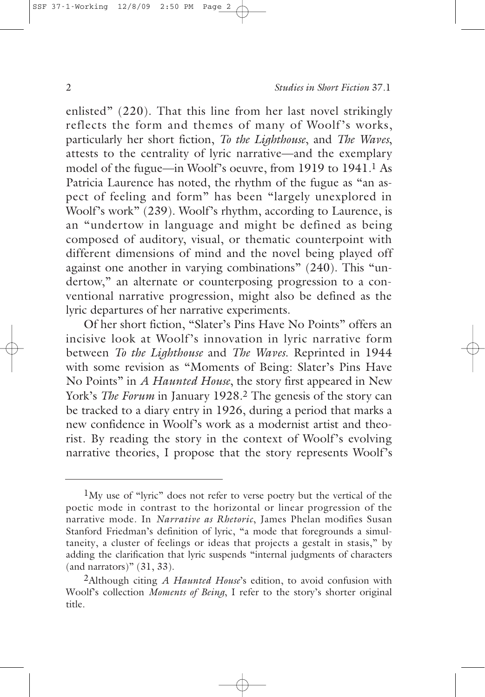enlisted" (220). That this line from her last novel strikingly reflects the form and themes of many of Woolf's works, particularly her short fiction, *To the Lighthouse*, and *The Waves*, attests to the centrality of lyric narrative—and the exemplary model of the fugue—in Woolf's oeuvre, from 1919 to 1941.1 As Patricia Laurence has noted, the rhythm of the fugue as "an aspect of feeling and form" has been "largely unexplored in Woolf's work" (239). Woolf's rhythm, according to Laurence, is an "undertow in language and might be defined as being composed of auditory, visual, or thematic counterpoint with different dimensions of mind and the novel being played off against one another in varying combinations" (240). This "undertow," an alternate or counterposing progression to a conventional narrative progression, might also be defined as the lyric departures of her narrative experiments.

Of her short fiction, "Slater's Pins Have No Points" offers an incisive look at Woolf's innovation in lyric narrative form between *To the Lighthouse* and *The Waves*. Reprinted in 1944 with some revision as "Moments of Being: Slater's Pins Have No Points" in *A Haunted House*, the story first appeared in New York's *The Forum* in January 1928.<sup>2</sup> The genesis of the story can be tracked to a diary entry in 1926, during a period that marks a new confidence in Woolf's work as a modernist artist and theorist. By reading the story in the context of Woolf's evolving narrative theories, I propose that the story represents Woolf's

<sup>1</sup>My use of "lyric" does not refer to verse poetry but the vertical of the poetic mode in contrast to the horizontal or linear progression of the narrative mode. In *Narrative as Rhetoric*, James Phelan modifies Susan Stanford Friedman's definition of lyric, "a mode that foregrounds a simultaneity, a cluster of feelings or ideas that projects a gestalt in stasis," by adding the clarification that lyric suspends "internal judgments of characters (and narrators)"  $(31, 33)$ .

<sup>2</sup>Although citing *A Haunted House*'s edition, to avoid confusion with Woolf's collection *Moments of Being*, I refer to the story's shorter original title.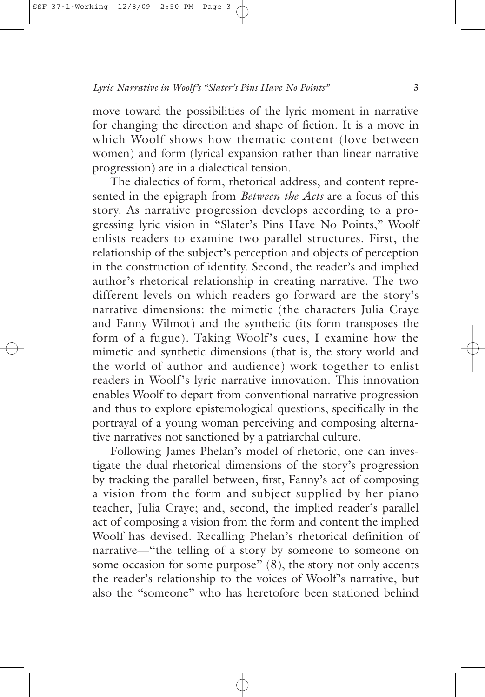move toward the possibilities of the lyric moment in narrative for changing the direction and shape of fiction. It is a move in which Woolf shows how thematic content (love between women) and form (lyrical expansion rather than linear narrative progression) are in a dialectical tension.

The dialectics of form, rhetorical address, and content represented in the epigraph from *Between the Acts* are a focus of this story. As narrative progression develops according to a progressing lyric vision in "Slater's Pins Have No Points," Woolf enlists readers to examine two parallel structures. First, the relationship of the subject's perception and objects of perception in the construction of identity. Second, the reader's and implied author's rhetorical relationship in creating narrative. The two different levels on which readers go forward are the story's narrative dimensions: the mimetic (the characters Julia Craye and Fanny Wilmot) and the synthetic (its form transposes the form of a fugue). Taking Woolf's cues, I examine how the mimetic and synthetic dimensions (that is, the story world and the world of author and audience) work together to enlist readers in Woolf's lyric narrative innovation. This innovation enables Woolf to depart from conventional narrative progression and thus to explore epistemological questions, specifically in the portrayal of a young woman perceiving and composing alternative narratives not sanctioned by a patriarchal culture.

Following James Phelan's model of rhetoric, one can investigate the dual rhetorical dimensions of the story's progression by tracking the parallel between, first, Fanny's act of composing a vision from the form and subject supplied by her piano teacher, Julia Craye; and, second, the implied reader's parallel act of composing a vision from the form and content the implied Woolf has devised. Recalling Phelan's rhetorical definition of narrative—"the telling of a story by someone to someone on some occasion for some purpose" (8), the story not only accents the reader's relationship to the voices of Woolf's narrative, but also the "someone" who has heretofore been stationed behind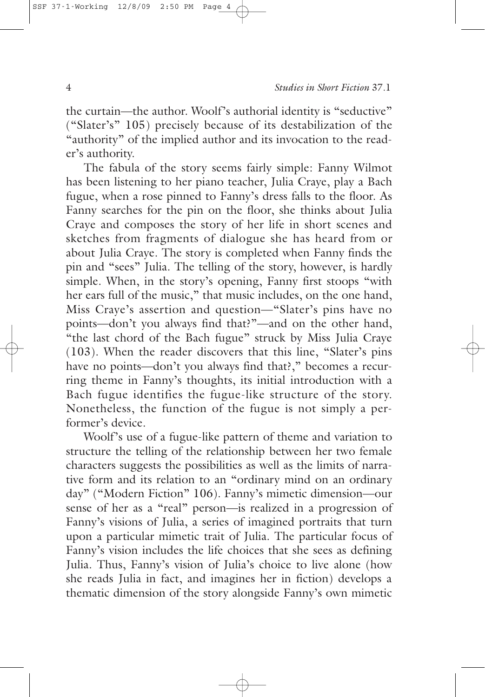the curtain—the author. Woolf's authorial identity is "seductive" ("Slater's" 105) precisely because of its destabilization of the "authority" of the implied author and its invocation to the reader's authority.

The fabula of the story seems fairly simple: Fanny Wilmot has been listening to her piano teacher, Julia Craye, play a Bach fugue, when a rose pinned to Fanny's dress falls to the floor. As Fanny searches for the pin on the floor, she thinks about Julia Craye and composes the story of her life in short scenes and sketches from fragments of dialogue she has heard from or about Julia Craye. The story is completed when Fanny finds the pin and "sees" Julia. The telling of the story, however, is hardly simple. When, in the story's opening, Fanny first stoops "with her ears full of the music," that music includes, on the one hand, Miss Craye's assertion and question—"Slater's pins have no points—don't you always find that?"—and on the other hand, "the last chord of the Bach fugue" struck by Miss Julia Craye (103). When the reader discovers that this line, "Slater's pins have no points—don't you always find that?," becomes a recurring theme in Fanny's thoughts, its initial introduction with a Bach fugue identifies the fugue-like structure of the story. Nonetheless, the function of the fugue is not simply a performer's device.

Woolf's use of a fugue-like pattern of theme and variation to structure the telling of the relationship between her two female characters suggests the possibilities as well as the limits of narrative form and its relation to an "ordinary mind on an ordinary day" ("Modern Fiction" 106). Fanny's mimetic dimension—our sense of her as a "real" person—is realized in a progression of Fanny's visions of Julia, a series of imagined portraits that turn upon a particular mimetic trait of Julia. The particular focus of Fanny's vision includes the life choices that she sees as defining Julia. Thus, Fanny's vision of Julia's choice to live alone (how she reads Julia in fact, and imagines her in fiction) develops a thematic dimension of the story alongside Fanny's own mimetic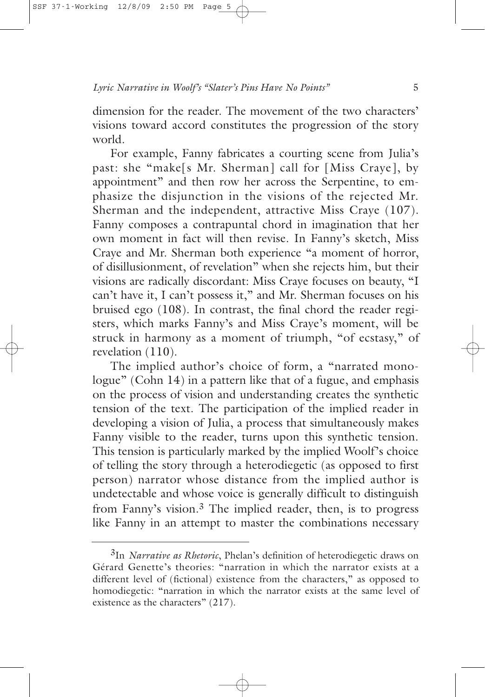dimension for the reader. The movement of the two characters' visions toward accord constitutes the progression of the story world.

For example, Fanny fabricates a courting scene from Julia's past: she "make[s Mr. Sherman] call for [Miss Craye], by appointment" and then row her across the Serpentine, to emphasize the disjunction in the visions of the rejected Mr. Sherman and the independent, attractive Miss Craye (107). Fanny composes a contrapuntal chord in imagination that her own moment in fact will then revise. In Fanny's sketch, Miss Craye and Mr. Sherman both experience "a moment of horror, of disillusionment, of revelation" when she rejects him, but their visions are radically discordant: Miss Craye focuses on beauty, "I can't have it, I can't possess it," and Mr. Sherman focuses on his bruised ego (108). In contrast, the final chord the reader registers, which marks Fanny's and Miss Craye's moment, will be struck in harmony as a moment of triumph, "of ecstasy," of revelation (110).

The implied author's choice of form, a "narrated monologue" (Cohn 14) in a pattern like that of a fugue, and emphasis on the process of vision and understanding creates the synthetic tension of the text. The participation of the implied reader in developing a vision of Julia, a process that simultaneously makes Fanny visible to the reader, turns upon this synthetic tension. This tension is particularly marked by the implied Woolf's choice of telling the story through a heterodiegetic (as opposed to first person) narrator whose distance from the implied author is undetectable and whose voice is generally difficult to distinguish from Fanny's vision.3 The implied reader, then, is to progress like Fanny in an attempt to master the combinations necessary

<sup>3</sup>In *Narrative as Rhetoric*, Phelan's definition of heterodiegetic draws on Gérard Genette's theories: "narration in which the narrator exists at a different level of (fictional) existence from the characters," as opposed to homodiegetic: "narration in which the narrator exists at the same level of existence as the characters" (217).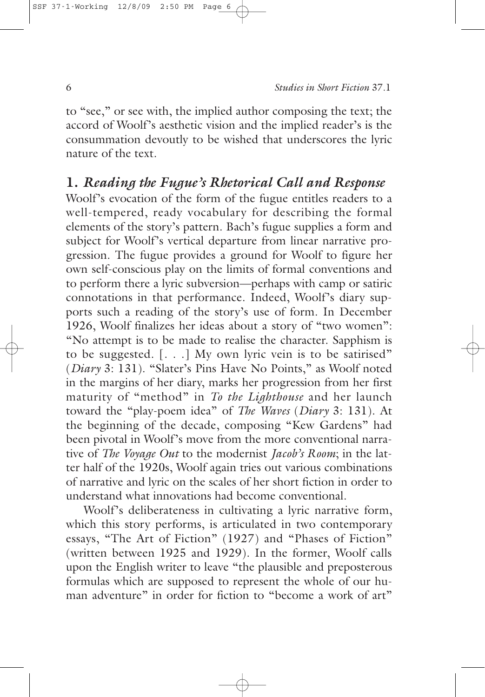to "see," or see with, the implied author composing the text; the accord of Woolf's aesthetic vision and the implied reader's is the consummation devoutly to be wished that underscores the lyric nature of the text.

# **1.** *Reading the Fugue's Rhetorical Call and Response*

Woolf's evocation of the form of the fugue entitles readers to a well-tempered, ready vocabulary for describing the formal elements of the story's pattern. Bach's fugue supplies a form and subject for Woolf's vertical departure from linear narrative progression. The fugue provides a ground for Woolf to figure her own self-conscious play on the limits of formal conventions and to perform there a lyric subversion—perhaps with camp or satiric connotations in that performance. Indeed, Woolf's diary supports such a reading of the story's use of form. In December 1926, Woolf finalizes her ideas about a story of "two women": "No attempt is to be made to realise the character. Sapphism is to be suggested. [. . .] My own lyric vein is to be satirised" (*Diary* 3: 131). "Slater's Pins Have No Points," as Woolf noted in the margins of her diary, marks her progression from her first maturity of "method" in *To the Lighthouse* and her launch toward the "play-poem idea" of *The Waves* (*Diary* 3: 131). At the beginning of the decade, composing "Kew Gardens" had been pivotal in Woolf's move from the more conventional narrative of *The Voyage Out* to the modernist *Jacob's Room*; in the latter half of the 1920s, Woolf again tries out various combinations of narrative and lyric on the scales of her short fiction in order to understand what innovations had become conventional.

Woolf's deliberateness in cultivating a lyric narrative form, which this story performs, is articulated in two contemporary essays, "The Art of Fiction" (1927) and "Phases of Fiction" (written between 1925 and 1929). In the former, Woolf calls upon the English writer to leave "the plausible and preposterous formulas which are supposed to represent the whole of our human adventure" in order for fiction to "become a work of art"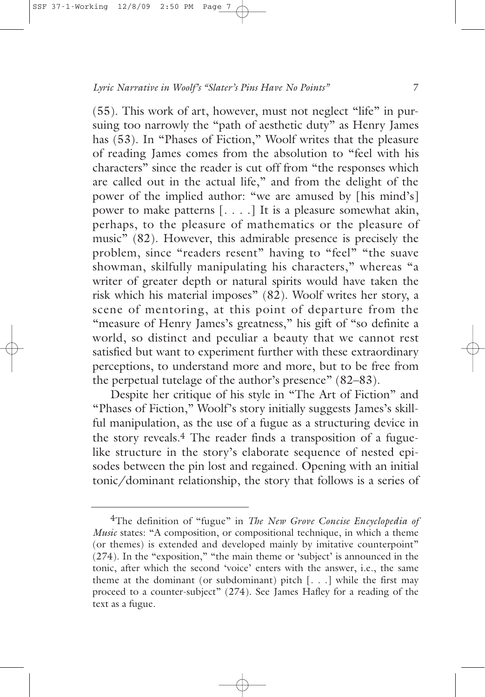(55). This work of art, however, must not neglect "life" in pursuing too narrowly the "path of aesthetic duty" as Henry James has (53). In "Phases of Fiction," Woolf writes that the pleasure of reading James comes from the absolution to "feel with his characters" since the reader is cut off from "the responses which are called out in the actual life," and from the delight of the power of the implied author: "we are amused by [his mind's] power to make patterns [. . . .] It is a pleasure somewhat akin, perhaps, to the pleasure of mathematics or the pleasure of music" (82). However, this admirable presence is precisely the problem, since "readers resent" having to "feel" "the suave showman, skilfully manipulating his characters," whereas "a writer of greater depth or natural spirits would have taken the risk which his material imposes" (82). Woolf writes her story, a scene of mentoring, at this point of departure from the "measure of Henry James's greatness," his gift of "so definite a world, so distinct and peculiar a beauty that we cannot rest satisfied but want to experiment further with these extraordinary perceptions, to understand more and more, but to be free from the perpetual tutelage of the author's presence" (82–83).

Despite her critique of his style in "The Art of Fiction" and "Phases of Fiction," Woolf's story initially suggests James's skillful manipulation, as the use of a fugue as a structuring device in the story reveals.4 The reader finds a transposition of a fuguelike structure in the story's elaborate sequence of nested episodes between the pin lost and regained. Opening with an initial tonic/dominant relationship, the story that follows is a series of

<sup>4</sup>The definition of "fugue" in *The New Grove Concise Encyclopedia of Music* states: "A composition, or compositional technique, in which a theme (or themes) is extended and developed mainly by imitative counterpoint" (274). In the "exposition," "the main theme or 'subject' is announced in the tonic, after which the second 'voice' enters with the answer, i.e., the same theme at the dominant (or subdominant) pitch  $[\ldots]$  while the first may proceed to a counter-subject" (274). See James Hafley for a reading of the text as a fugue.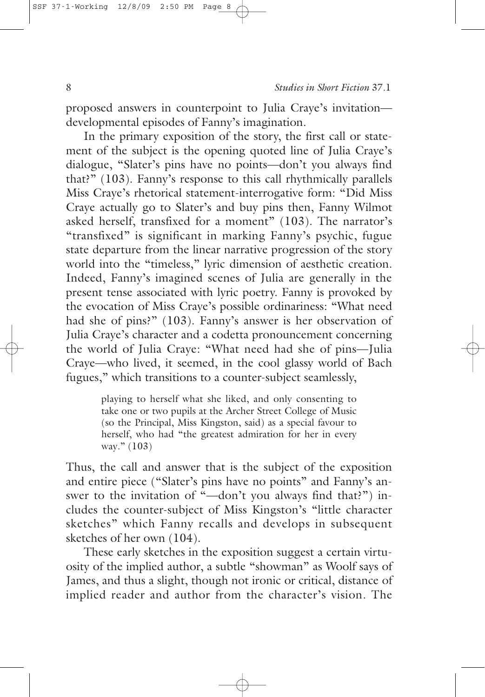proposed answers in counterpoint to Julia Craye's invitation developmental episodes of Fanny's imagination.

In the primary exposition of the story, the first call or statement of the subject is the opening quoted line of Julia Craye's dialogue, "Slater's pins have no points—don't you always find that?" (103). Fanny's response to this call rhythmically parallels Miss Craye's rhetorical statement-interrogative form: "Did Miss Craye actually go to Slater's and buy pins then, Fanny Wilmot asked herself, transfixed for a moment" (103). The narrator's "transfixed" is significant in marking Fanny's psychic, fugue state departure from the linear narrative progression of the story world into the "timeless," lyric dimension of aesthetic creation. Indeed, Fanny's imagined scenes of Julia are generally in the present tense associated with lyric poetry. Fanny is provoked by the evocation of Miss Craye's possible ordinariness: "What need had she of pins?" (103). Fanny's answer is her observation of Julia Craye's character and a codetta pronouncement concerning the world of Julia Craye: "What need had she of pins—Julia Craye—who lived, it seemed, in the cool glassy world of Bach fugues," which transitions to a counter-subject seamlessly,

> playing to herself what she liked, and only consenting to take one or two pupils at the Archer Street College of Music (so the Principal, Miss Kingston, said) as a special favour to herself, who had "the greatest admiration for her in every way." (103)

Thus, the call and answer that is the subject of the exposition and entire piece ("Slater's pins have no points" and Fanny's answer to the invitation of "-don't you always find that?") includes the counter-subject of Miss Kingston's "little character sketches" which Fanny recalls and develops in subsequent sketches of her own (104).

These early sketches in the exposition suggest a certain virtuosity of the implied author, a subtle "showman" as Woolf says of James, and thus a slight, though not ironic or critical, distance of implied reader and author from the character's vision. The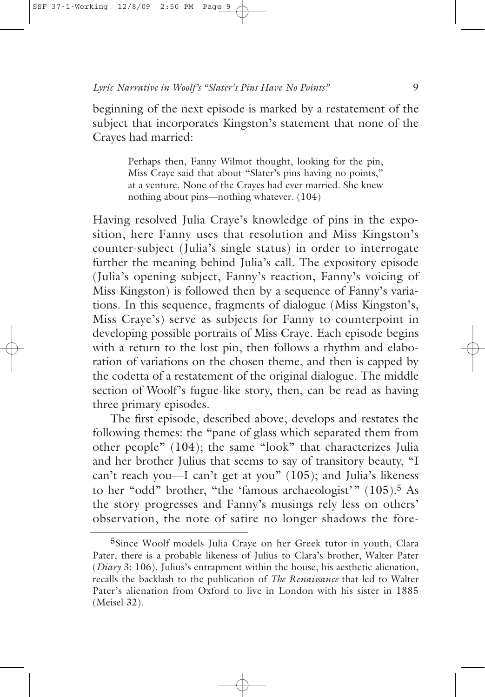beginning of the next episode is marked by a restatement of the subject that incorporates Kingston's statement that none of the Crayes had married:

> Perhaps then, Fanny Wilmot thought, looking for the pin, Miss Craye said that about "Slater's pins having no points," at a venture. None of the Crayes had ever married. She knew nothing about pins—nothing whatever. (104)

Having resolved Julia Craye's knowledge of pins in the exposition, here Fanny uses that resolution and Miss Kingston's counter-subject (Julia's single status) in order to interrogate further the meaning behind Julia's call. The expository episode (Julia's opening subject, Fanny's reaction, Fanny's voicing of Miss Kingston) is followed then by a sequence of Fanny's variations. In this sequence, fragments of dialogue (Miss Kingston's, Miss Craye's) serve as subjects for Fanny to counterpoint in developing possible portraits of Miss Craye. Each episode begins with a return to the lost pin, then follows a rhythm and elaboration of variations on the chosen theme, and then is capped by the codetta of a restatement of the original dialogue. The middle section of Woolf's fugue-like story, then, can be read as having three primary episodes.

The first episode, described above, develops and restates the following themes: the "pane of glass which separated them from other people" (104); the same "look" that characterizes Julia and her brother Julius that seems to say of transitory beauty, "I can't reach you—I can't get at you" (105); and Julia's likeness to her "odd" brother, "the 'famous archaeologist'" (105).5 As the story progresses and Fanny's musings rely less on others' observation, the note of satire no longer shadows the fore-

<sup>5</sup>Since Woolf models Julia Craye on her Greek tutor in youth, Clara Pater, there is a probable likeness of Julius to Clara's brother, Walter Pater (*Diary* 3: 106). Julius's entrapment within the house, his aesthetic alienation, recalls the backlash to the publication of *The Renaissance* that led to Walter Pater's alienation from Oxford to live in London with his sister in 1885 (Meisel 32).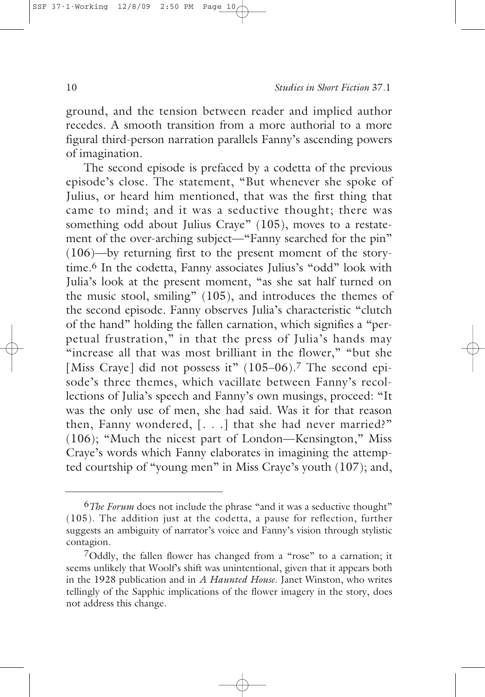ground, and the tension between reader and implied author recedes. A smooth transition from a more authorial to a more figural third-person narration parallels Fanny's ascending powers of imagination.

The second episode is prefaced by a codetta of the previous episode's close. The statement, "But whenever she spoke of Julius, or heard him mentioned, that was the first thing that came to mind; and it was a seductive thought; there was something odd about Julius Craye" (105), moves to a restatement of the over-arching subject—"Fanny searched for the pin" (106)—by returning first to the present moment of the storytime.6 In the codetta, Fanny associates Julius's "odd" look with Julia's look at the present moment, "as she sat half turned on the music stool, smiling" (105), and introduces the themes of the second episode. Fanny observes Julia's characteristic "clutch of the hand" holding the fallen carnation, which signifies a "perpetual frustration," in that the press of Julia's hands may "increase all that was most brilliant in the flower," "but she [Miss Craye] did not possess it" (105–06).<sup>7</sup> The second episode's three themes, which vacillate between Fanny's recollections of Julia's speech and Fanny's own musings, proceed: "It was the only use of men, she had said. Was it for that reason then, Fanny wondered, [. . .] that she had never married?" (106); "Much the nicest part of London—Kensington," Miss Craye's words which Fanny elaborates in imagining the attempted courtship of "young men" in Miss Craye's youth (107); and,

<sup>6</sup>*The Forum* does not include the phrase "and it was a seductive thought" (105). The addition just at the codetta, a pause for reflection, further suggests an ambiguity of narrator's voice and Fanny's vision through stylistic contagion.

 $7$ Oddly, the fallen flower has changed from a "rose" to a carnation; it seems unlikely that Woolf's shift was unintentional, given that it appears both in the 1928 publication and in *A Haunted House*. Janet Winston, who writes tellingly of the Sapphic implications of the flower imagery in the story, does not address this change.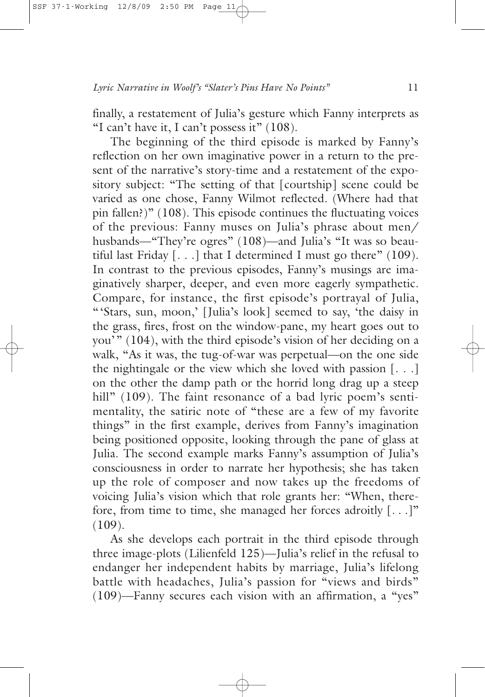finally, a restatement of Julia's gesture which Fanny interprets as "I can't have it, I can't possess it" (108).

The beginning of the third episode is marked by Fanny's reflection on her own imaginative power in a return to the present of the narrative's story-time and a restatement of the expository subject: "The setting of that [courtship] scene could be varied as one chose, Fanny Wilmot reflected. (Where had that pin fallen?)" (108). This episode continues the fluctuating voices of the previous: Fanny muses on Julia's phrase about men/ husbands—"They're ogres" (108)—and Julia's "It was so beautiful last Friday  $[...]$  that I determined I must go there" (109). In contrast to the previous episodes, Fanny's musings are imaginatively sharper, deeper, and even more eagerly sympathetic. Compare, for instance, the first episode's portrayal of Julia, "'Stars, sun, moon,' [Julia's look] seemed to say, 'the daisy in the grass, fires, frost on the window-pane, my heart goes out to you'" (104), with the third episode's vision of her deciding on a walk, "As it was, the tug-of-war was perpetual—on the one side the nightingale or the view which she loved with passion [. . .] on the other the damp path or the horrid long drag up a steep hill" (109). The faint resonance of a bad lyric poem's sentimentality, the satiric note of "these are a few of my favorite things" in the first example, derives from Fanny's imagination being positioned opposite, looking through the pane of glass at Julia. The second example marks Fanny's assumption of Julia's consciousness in order to narrate her hypothesis; she has taken up the role of composer and now takes up the freedoms of voicing Julia's vision which that role grants her: "When, therefore, from time to time, she managed her forces adroitly  $[\ldots]$ "  $(109)$ .

As she develops each portrait in the third episode through three image-plots (Lilienfeld 125)—Julia's relief in the refusal to endanger her independent habits by marriage, Julia's lifelong battle with headaches, Julia's passion for "views and birds" (109)—Fanny secures each vision with an affirmation, a "yes"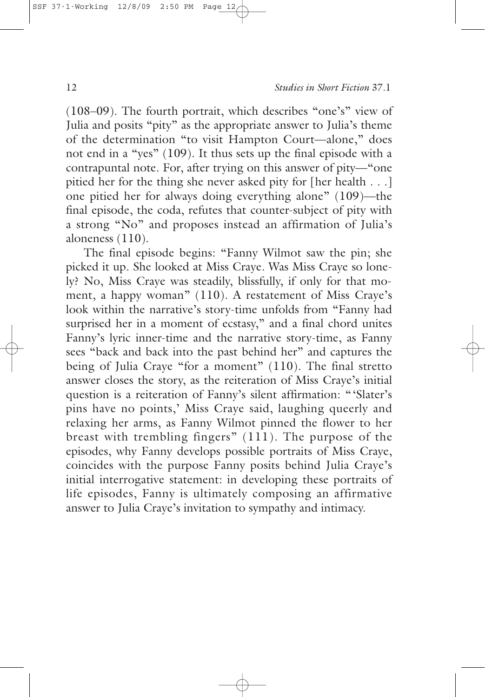(108–09). The fourth portrait, which describes "one's" view of Julia and posits "pity" as the appropriate answer to Julia's theme of the determination "to visit Hampton Court—alone," does not end in a "yes" (109). It thus sets up the final episode with a contrapuntal note. For, after trying on this answer of pity—"one pitied her for the thing she never asked pity for [her health . . .] one pitied her for always doing everything alone" (109)—the final episode, the coda, refutes that counter-subject of pity with a strong "No" and proposes instead an affirmation of Julia's aloneness (110).

The final episode begins: "Fanny Wilmot saw the pin; she picked it up. She looked at Miss Craye. Was Miss Craye so lonely? No, Miss Craye was steadily, blissfully, if only for that moment, a happy woman" (110). A restatement of Miss Craye's look within the narrative's story-time unfolds from "Fanny had surprised her in a moment of ecstasy," and a final chord unites Fanny's lyric inner-time and the narrative story-time, as Fanny sees "back and back into the past behind her" and captures the being of Julia Craye "for a moment" (110). The final stretto answer closes the story, as the reiteration of Miss Craye's initial question is a reiteration of Fanny's silent affirmation: "'Slater's pins have no points,' Miss Craye said, laughing queerly and relaxing her arms, as Fanny Wilmot pinned the flower to her breast with trembling fingers" (111). The purpose of the episodes, why Fanny develops possible portraits of Miss Craye, coincides with the purpose Fanny posits behind Julia Craye's initial interrogative statement: in developing these portraits of life episodes, Fanny is ultimately composing an affirmative answer to Julia Craye's invitation to sympathy and intimacy.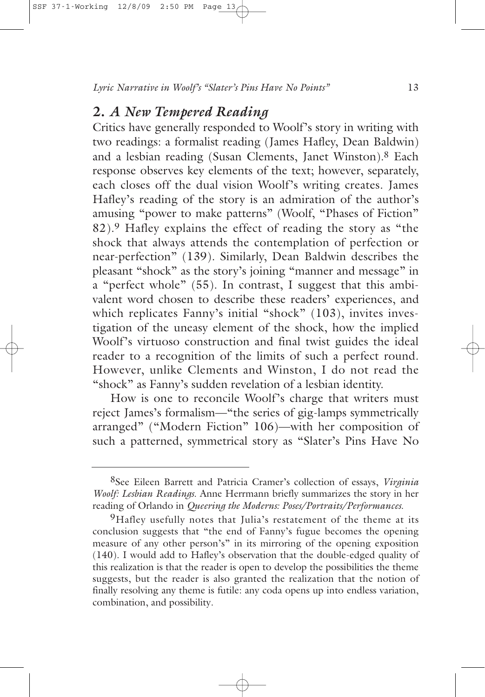# **2.** *A New Tempered Reading*

Critics have generally responded to Woolf's story in writing with two readings: a formalist reading (James Hafley, Dean Baldwin) and a lesbian reading (Susan Clements, Janet Winston).8 Each response observes key elements of the text; however, separately, each closes off the dual vision Woolf's writing creates. James Hafley's reading of the story is an admiration of the author's amusing "power to make patterns" (Woolf, "Phases of Fiction" 82).9 Hafley explains the effect of reading the story as "the shock that always attends the contemplation of perfection or near-perfection" (139). Similarly, Dean Baldwin describes the pleasant "shock" as the story's joining "manner and message" in a "perfect whole" (55). In contrast, I suggest that this ambivalent word chosen to describe these readers' experiences, and which replicates Fanny's initial "shock" (103), invites investigation of the uneasy element of the shock, how the implied Woolf's virtuoso construction and final twist guides the ideal reader to a recognition of the limits of such a perfect round. However, unlike Clements and Winston, I do not read the "shock" as Fanny's sudden revelation of a lesbian identity.

How is one to reconcile Woolf's charge that writers must reject James's formalism—"the series of gig-lamps symmetrically arranged" ("Modern Fiction" 106)—with her composition of such a patterned, symmetrical story as "Slater's Pins Have No

<sup>8</sup>See Eileen Barrett and Patricia Cramer's collection of essays, *Virginia Woolf: Lesbian Readings*. Anne Herrmann briefly summarizes the story in her reading of Orlando in *Queering the Moderns: Poses/Portraits/Performances*.

<sup>&</sup>lt;sup>9</sup>Hafley usefully notes that Julia's restatement of the theme at its conclusion suggests that "the end of Fanny's fugue becomes the opening measure of any other person's" in its mirroring of the opening exposition (140). I would add to Hafley's observation that the double-edged quality of this realization is that the reader is open to develop the possibilities the theme suggests, but the reader is also granted the realization that the notion of finally resolving any theme is futile: any coda opens up into endless variation, combination, and possibility.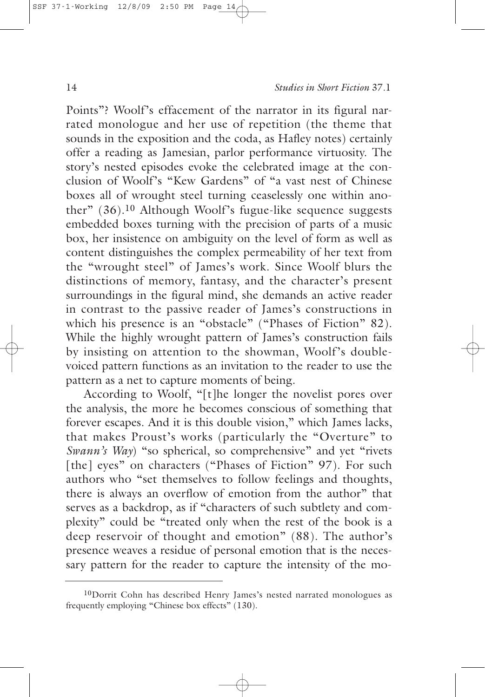Points"? Woolf's effacement of the narrator in its figural narrated monologue and her use of repetition (the theme that sounds in the exposition and the coda, as Hafley notes) certainly offer a reading as Jamesian, parlor performance virtuosity. The story's nested episodes evoke the celebrated image at the conclusion of Woolf's "Kew Gardens" of "a vast nest of Chinese boxes all of wrought steel turning ceaselessly one within another" (36).10 Although Woolf's fugue-like sequence suggests embedded boxes turning with the precision of parts of a music box, her insistence on ambiguity on the level of form as well as content distinguishes the complex permeability of her text from the "wrought steel" of James's work. Since Woolf blurs the distinctions of memory, fantasy, and the character's present surroundings in the figural mind, she demands an active reader in contrast to the passive reader of James's constructions in which his presence is an "obstacle" ("Phases of Fiction" 82). While the highly wrought pattern of James's construction fails by insisting on attention to the showman, Woolf's doublevoiced pattern functions as an invitation to the reader to use the pattern as a net to capture moments of being.

According to Woolf, "[t]he longer the novelist pores over the analysis, the more he becomes conscious of something that forever escapes. And it is this double vision," which James lacks, that makes Proust's works (particularly the "Overture" to *Swann's Way*) "so spherical, so comprehensive" and yet "rivets" [the] eyes" on characters ("Phases of Fiction" 97). For such authors who "set themselves to follow feelings and thoughts, there is always an overflow of emotion from the author" that serves as a backdrop, as if "characters of such subtlety and complexity" could be "treated only when the rest of the book is a deep reservoir of thought and emotion" (88). The author's presence weaves a residue of personal emotion that is the necessary pattern for the reader to capture the intensity of the mo-

<sup>&</sup>lt;sup>10</sup>Dorrit Cohn has described Henry James's nested narrated monologues as frequently employing "Chinese box effects" (130).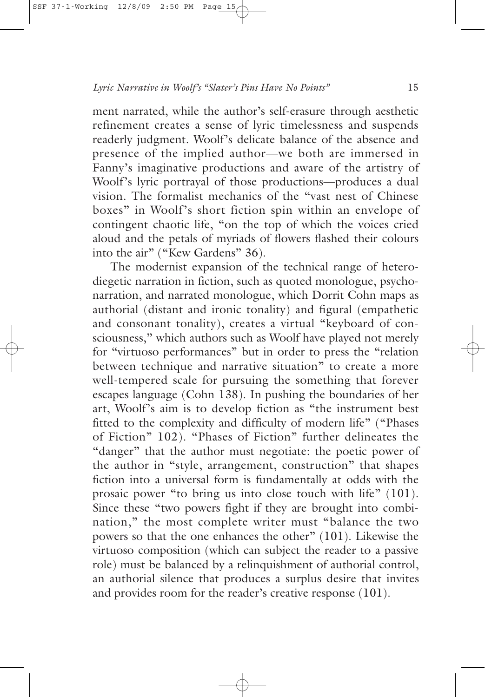ment narrated, while the author's self-erasure through aesthetic refinement creates a sense of lyric timelessness and suspends readerly judgment. Woolf's delicate balance of the absence and presence of the implied author—we both are immersed in Fanny's imaginative productions and aware of the artistry of Woolf's lyric portrayal of those productions—produces a dual vision. The formalist mechanics of the "vast nest of Chinese boxes" in Woolf's short fiction spin within an envelope of contingent chaotic life, "on the top of which the voices cried aloud and the petals of myriads of flowers flashed their colours into the air" ("Kew Gardens" 36).

The modernist expansion of the technical range of heterodiegetic narration in fiction, such as quoted monologue, psychonarration, and narrated monologue, which Dorrit Cohn maps as authorial (distant and ironic tonality) and figural (empathetic and consonant tonality), creates a virtual "keyboard of consciousness," which authors such as Woolf have played not merely for "virtuoso performances" but in order to press the "relation between technique and narrative situation" to create a more well-tempered scale for pursuing the something that forever escapes language (Cohn 138). In pushing the boundaries of her art, Woolf's aim is to develop fiction as "the instrument best fitted to the complexity and difficulty of modern life" ("Phases of Fiction" 102). "Phases of Fiction" further delineates the "danger" that the author must negotiate: the poetic power of the author in "style, arrangement, construction" that shapes fiction into a universal form is fundamentally at odds with the prosaic power "to bring us into close touch with life" (101). Since these "two powers fight if they are brought into combination," the most complete writer must "balance the two powers so that the one enhances the other" (101). Likewise the virtuoso composition (which can subject the reader to a passive role) must be balanced by a relinquishment of authorial control, an authorial silence that produces a surplus desire that invites and provides room for the reader's creative response (101).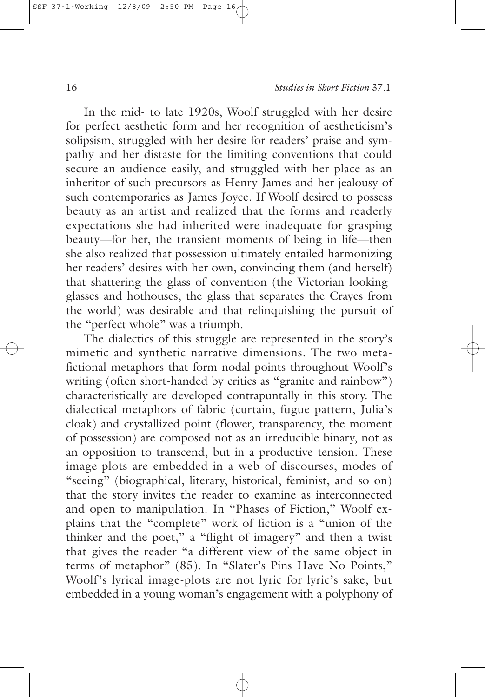In the mid- to late 1920s, Woolf struggled with her desire for perfect aesthetic form and her recognition of aestheticism's solipsism, struggled with her desire for readers' praise and sympathy and her distaste for the limiting conventions that could secure an audience easily, and struggled with her place as an inheritor of such precursors as Henry James and her jealousy of such contemporaries as James Joyce. If Woolf desired to possess beauty as an artist and realized that the forms and readerly expectations she had inherited were inadequate for grasping beauty—for her, the transient moments of being in life—then she also realized that possession ultimately entailed harmonizing her readers' desires with her own, convincing them (and herself) that shattering the glass of convention (the Victorian lookingglasses and hothouses, the glass that separates the Crayes from the world) was desirable and that relinquishing the pursuit of the "perfect whole" was a triumph.

The dialectics of this struggle are represented in the story's mimetic and synthetic narrative dimensions. The two metafictional metaphors that form nodal points throughout Woolf's writing (often short-handed by critics as "granite and rainbow") characteristically are developed contrapuntally in this story. The dialectical metaphors of fabric (curtain, fugue pattern, Julia's cloak) and crystallized point (flower, transparency, the moment of possession) are composed not as an irreducible binary, not as an opposition to transcend, but in a productive tension. These image-plots are embedded in a web of discourses, modes of "seeing" (biographical, literary, historical, feminist, and so on) that the story invites the reader to examine as interconnected and open to manipulation. In "Phases of Fiction," Woolf explains that the "complete" work of fiction is a "union of the thinker and the poet," a "flight of imagery" and then a twist that gives the reader "a different view of the same object in terms of metaphor" (85). In "Slater's Pins Have No Points," Woolf's lyrical image-plots are not lyric for lyric's sake, but embedded in a young woman's engagement with a polyphony of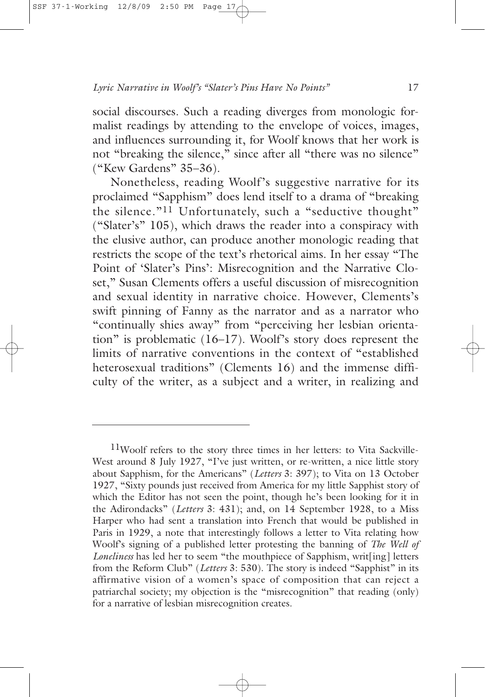social discourses. Such a reading diverges from monologic formalist readings by attending to the envelope of voices, images, and influences surrounding it, for Woolf knows that her work is not "breaking the silence," since after all "there was no silence" ("Kew Gardens" 35–36).

Nonetheless, reading Woolf's suggestive narrative for its proclaimed "Sapphism" does lend itself to a drama of "breaking the silence."11 Unfortunately, such a "seductive thought" ("Slater's" 105), which draws the reader into a conspiracy with the elusive author, can produce another monologic reading that restricts the scope of the text's rhetorical aims. In her essay "The Point of 'Slater's Pins': Misrecognition and the Narrative Closet," Susan Clements offers a useful discussion of misrecognition and sexual identity in narrative choice. However, Clements's swift pinning of Fanny as the narrator and as a narrator who "continually shies away" from "perceiving her lesbian orientation" is problematic (16–17). Woolf's story does represent the limits of narrative conventions in the context of "established heterosexual traditions" (Clements 16) and the immense difficulty of the writer, as a subject and a writer, in realizing and

<sup>11</sup>Woolf refers to the story three times in her letters: to Vita Sackville-West around 8 July 1927, "I've just written, or re-written, a nice little story about Sapphism, for the Americans" (*Letters* 3: 397); to Vita on 13 October 1927, "Sixty pounds just received from America for my little Sapphist story of which the Editor has not seen the point, though he's been looking for it in the Adirondacks" (*Letters* 3: 431); and, on 14 September 1928, to a Miss Harper who had sent a translation into French that would be published in Paris in 1929, a note that interestingly follows a letter to Vita relating how Woolf's signing of a published letter protesting the banning of *The Well of Loneliness* has led her to seem "the mouthpiece of Sapphism, writ[ing] letters from the Reform Club" (*Letters* 3: 530). The story is indeed "Sapphist" in its affirmative vision of a women's space of composition that can reject a patriarchal society; my objection is the "misrecognition" that reading (only) for a narrative of lesbian misrecognition creates.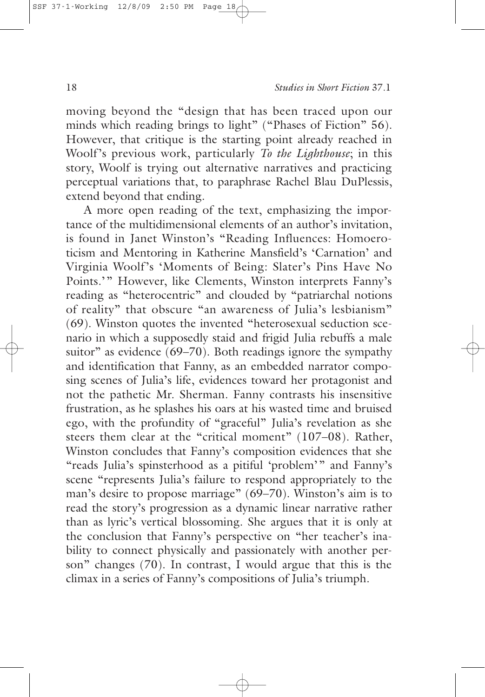moving beyond the "design that has been traced upon our minds which reading brings to light" ("Phases of Fiction" 56). However, that critique is the starting point already reached in Woolf's previous work, particularly *To the Lighthouse*; in this story, Woolf is trying out alternative narratives and practicing perceptual variations that, to paraphrase Rachel Blau DuPlessis, extend beyond that ending.

A more open reading of the text, emphasizing the importance of the multidimensional elements of an author's invitation, is found in Janet Winston's "Reading Influences: Homoeroticism and Mentoring in Katherine Mansfield's 'Carnation' and Virginia Woolf's 'Moments of Being: Slater's Pins Have No Points.'" However, like Clements, Winston interprets Fanny's reading as "heterocentric" and clouded by "patriarchal notions of reality" that obscure "an awareness of Julia's lesbianism" (69). Winston quotes the invented "heterosexual seduction scenario in which a supposedly staid and frigid Julia rebuffs a male suitor" as evidence (69–70). Both readings ignore the sympathy and identification that Fanny, as an embedded narrator composing scenes of Julia's life, evidences toward her protagonist and not the pathetic Mr. Sherman. Fanny contrasts his insensitive frustration, as he splashes his oars at his wasted time and bruised ego, with the profundity of "graceful" Julia's revelation as she steers them clear at the "critical moment" (107–08). Rather, Winston concludes that Fanny's composition evidences that she "reads Julia's spinsterhood as a pitiful 'problem'" and Fanny's scene "represents Julia's failure to respond appropriately to the man's desire to propose marriage" (69–70). Winston's aim is to read the story's progression as a dynamic linear narrative rather than as lyric's vertical blossoming. She argues that it is only at the conclusion that Fanny's perspective on "her teacher's inability to connect physically and passionately with another person" changes (70). In contrast, I would argue that this is the climax in a series of Fanny's compositions of Julia's triumph.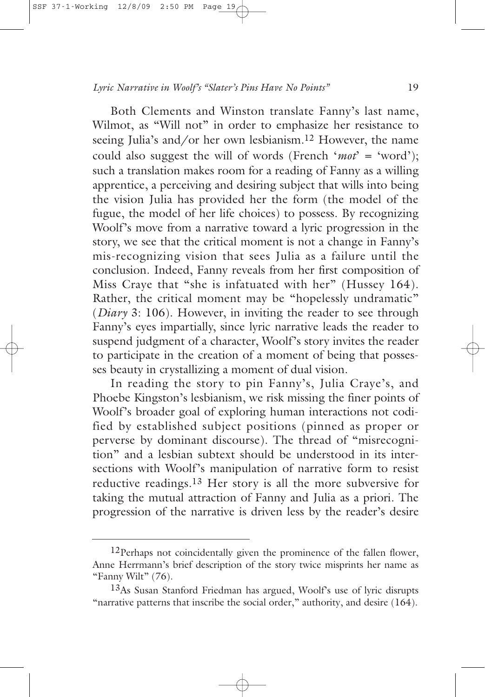Both Clements and Winston translate Fanny's last name, Wilmot, as "Will not" in order to emphasize her resistance to seeing Julia's and/or her own lesbianism.12 However, the name could also suggest the will of words (French '*mot*' = 'word'); such a translation makes room for a reading of Fanny as a willing apprentice, a perceiving and desiring subject that wills into being the vision Julia has provided her the form (the model of the fugue, the model of her life choices) to possess. By recognizing Woolf's move from a narrative toward a lyric progression in the story, we see that the critical moment is not a change in Fanny's mis-recognizing vision that sees Julia as a failure until the conclusion. Indeed, Fanny reveals from her first composition of Miss Craye that "she is infatuated with her" (Hussey 164). Rather, the critical moment may be "hopelessly undramatic" (*Diary* 3: 106). However, in inviting the reader to see through Fanny's eyes impartially, since lyric narrative leads the reader to suspend judgment of a character, Woolf's story invites the reader to participate in the creation of a moment of being that possesses beauty in crystallizing a moment of dual vision.

In reading the story to pin Fanny's, Julia Craye's, and Phoebe Kingston's lesbianism, we risk missing the finer points of Woolf's broader goal of exploring human interactions not codified by established subject positions (pinned as proper or perverse by dominant discourse). The thread of "misrecognition" and a lesbian subtext should be understood in its intersections with Woolf's manipulation of narrative form to resist reductive readings.13 Her story is all the more subversive for taking the mutual attraction of Fanny and Julia as a priori. The progression of the narrative is driven less by the reader's desire

<sup>&</sup>lt;sup>12</sup>Perhaps not coincidentally given the prominence of the fallen flower, Anne Herrmann's brief description of the story twice misprints her name as "Fanny Wilt" (76).

<sup>13</sup>As Susan Stanford Friedman has argued, Woolf's use of lyric disrupts "narrative patterns that inscribe the social order," authority, and desire (164).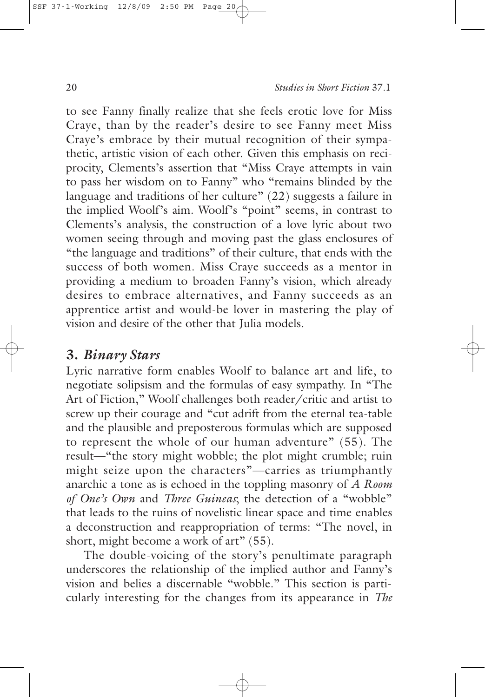to see Fanny finally realize that she feels erotic love for Miss Craye, than by the reader's desire to see Fanny meet Miss Craye's embrace by their mutual recognition of their sympathetic, artistic vision of each other. Given this emphasis on reciprocity, Clements's assertion that "Miss Craye attempts in vain to pass her wisdom on to Fanny" who "remains blinded by the language and traditions of her culture" (22) suggests a failure in the implied Woolf's aim. Woolf's "point" seems, in contrast to Clements's analysis, the construction of a love lyric about two women seeing through and moving past the glass enclosures of "the language and traditions" of their culture, that ends with the success of both women. Miss Craye succeeds as a mentor in providing a medium to broaden Fanny's vision, which already desires to embrace alternatives, and Fanny succeeds as an apprentice artist and would-be lover in mastering the play of vision and desire of the other that Julia models.

# **3.** *Binary Stars*

Lyric narrative form enables Woolf to balance art and life, to negotiate solipsism and the formulas of easy sympathy. In "The Art of Fiction," Woolf challenges both reader/critic and artist to screw up their courage and "cut adrift from the eternal tea-table and the plausible and preposterous formulas which are supposed to represent the whole of our human adventure" (55). The result—"the story might wobble; the plot might crumble; ruin might seize upon the characters"—carries as triumphantly anarchic a tone as is echoed in the toppling masonry of *A Room of One's Own* and *Three Guineas*; the detection of a "wobble" that leads to the ruins of novelistic linear space and time enables a deconstruction and reappropriation of terms: "The novel, in short, might become a work of art" (55).

The double-voicing of the story's penultimate paragraph underscores the relationship of the implied author and Fanny's vision and belies a discernable "wobble." This section is particularly interesting for the changes from its appearance in *The*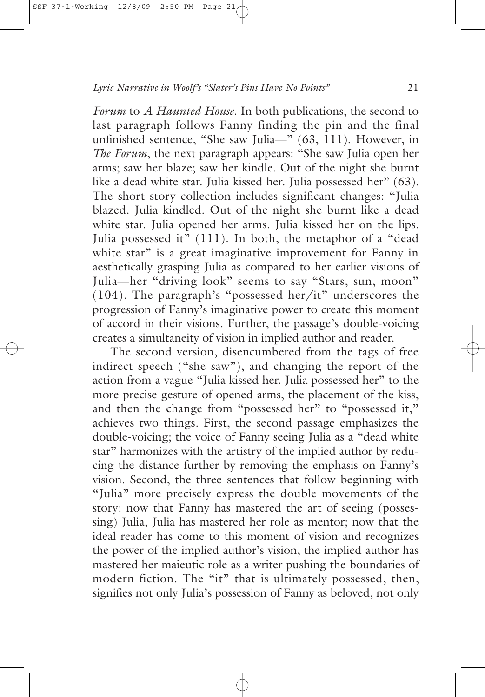*Forum* to *A Haunted House*. In both publications, the second to last paragraph follows Fanny finding the pin and the final unfinished sentence, "She saw Julia—" (63, 111). However, in *The Forum*, the next paragraph appears: "She saw Julia open her arms; saw her blaze; saw her kindle. Out of the night she burnt like a dead white star. Julia kissed her. Julia possessed her" (63). The short story collection includes significant changes: "Julia blazed. Julia kindled. Out of the night she burnt like a dead white star. Julia opened her arms. Julia kissed her on the lips. Julia possessed it" (111). In both, the metaphor of a "dead white star" is a great imaginative improvement for Fanny in aesthetically grasping Julia as compared to her earlier visions of Julia—her "driving look" seems to say "Stars, sun, moon" (104). The paragraph's "possessed her/it" underscores the progression of Fanny's imaginative power to create this moment of accord in their visions. Further, the passage's double-voicing creates a simultaneity of vision in implied author and reader.

The second version, disencumbered from the tags of free indirect speech ("she saw"), and changing the report of the action from a vague "Julia kissed her. Julia possessed her" to the more precise gesture of opened arms, the placement of the kiss, and then the change from "possessed her" to "possessed it," achieves two things. First, the second passage emphasizes the double-voicing; the voice of Fanny seeing Julia as a "dead white star" harmonizes with the artistry of the implied author by reducing the distance further by removing the emphasis on Fanny's vision. Second, the three sentences that follow beginning with "Julia" more precisely express the double movements of the story: now that Fanny has mastered the art of seeing (possessing) Julia, Julia has mastered her role as mentor; now that the ideal reader has come to this moment of vision and recognizes the power of the implied author's vision, the implied author has mastered her maieutic role as a writer pushing the boundaries of modern fiction. The "it" that is ultimately possessed, then, signifies not only Julia's possession of Fanny as beloved, not only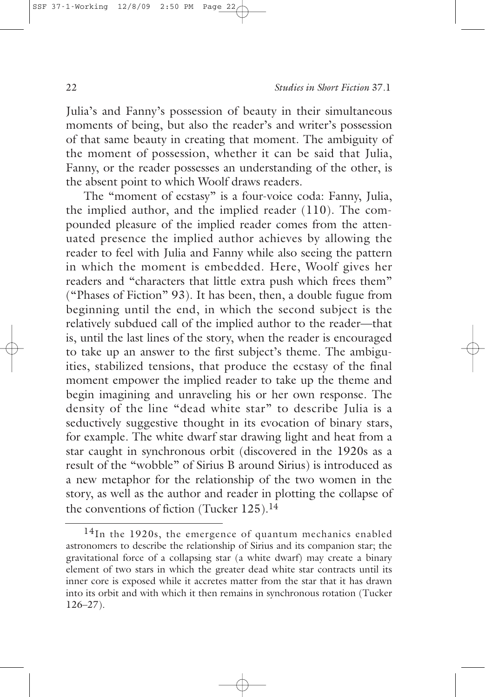Julia's and Fanny's possession of beauty in their simultaneous moments of being, but also the reader's and writer's possession of that same beauty in creating that moment. The ambiguity of the moment of possession, whether it can be said that Julia, Fanny, or the reader possesses an understanding of the other, is the absent point to which Woolf draws readers.

The "moment of ecstasy" is a four-voice coda: Fanny, Julia, the implied author, and the implied reader (110). The compounded pleasure of the implied reader comes from the attenuated presence the implied author achieves by allowing the reader to feel with Julia and Fanny while also seeing the pattern in which the moment is embedded. Here, Woolf gives her readers and "characters that little extra push which frees them" ("Phases of Fiction" 93). It has been, then, a double fugue from beginning until the end, in which the second subject is the relatively subdued call of the implied author to the reader—that is, until the last lines of the story, when the reader is encouraged to take up an answer to the first subject's theme. The ambiguities, stabilized tensions, that produce the ecstasy of the final moment empower the implied reader to take up the theme and begin imagining and unraveling his or her own response. The density of the line "dead white star" to describe Julia is a seductively suggestive thought in its evocation of binary stars, for example. The white dwarf star drawing light and heat from a star caught in synchronous orbit (discovered in the 1920s as a result of the "wobble" of Sirius B around Sirius) is introduced as a new metaphor for the relationship of the two women in the story, as well as the author and reader in plotting the collapse of the conventions of fiction (Tucker 125).14

<sup>&</sup>lt;sup>14</sup>In the 1920s, the emergence of quantum mechanics enabled astronomers to describe the relationship of Sirius and its companion star; the gravitational force of a collapsing star (a white dwarf) may create a binary element of two stars in which the greater dead white star contracts until its inner core is exposed while it accretes matter from the star that it has drawn into its orbit and with which it then remains in synchronous rotation (Tucker 126–27).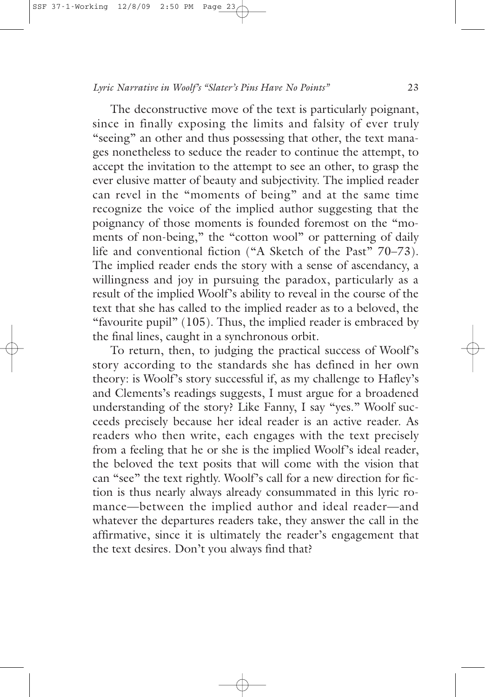The deconstructive move of the text is particularly poignant, since in finally exposing the limits and falsity of ever truly "seeing" an other and thus possessing that other, the text manages nonetheless to seduce the reader to continue the attempt, to accept the invitation to the attempt to see an other, to grasp the ever elusive matter of beauty and subjectivity. The implied reader can revel in the "moments of being" and at the same time recognize the voice of the implied author suggesting that the poignancy of those moments is founded foremost on the "moments of non-being," the "cotton wool" or patterning of daily life and conventional fiction ("A Sketch of the Past" 70–73). The implied reader ends the story with a sense of ascendancy, a willingness and joy in pursuing the paradox, particularly as a result of the implied Woolf's ability to reveal in the course of the text that she has called to the implied reader as to a beloved, the "favourite pupil" (105). Thus, the implied reader is embraced by the final lines, caught in a synchronous orbit.

To return, then, to judging the practical success of Woolf's story according to the standards she has defined in her own theory: is Woolf's story successful if, as my challenge to Hafley's and Clements's readings suggests, I must argue for a broadened understanding of the story? Like Fanny, I say "yes." Woolf succeeds precisely because her ideal reader is an active reader. As readers who then write, each engages with the text precisely from a feeling that he or she is the implied Woolf's ideal reader, the beloved the text posits that will come with the vision that can "see" the text rightly. Woolf's call for a new direction for fiction is thus nearly always already consummated in this lyric romance—between the implied author and ideal reader—and whatever the departures readers take, they answer the call in the affirmative, since it is ultimately the reader's engagement that the text desires. Don't you always find that?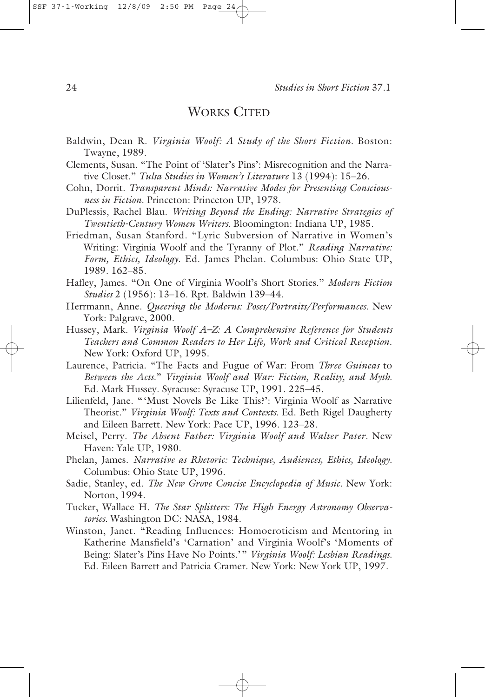#### SSF 37-1-Working 12/8/09

WORKS CITED

- Baldwin, Dean R. *Virginia Woolf: A Study of the Short Fiction.* Boston: Twayne, 1989.
- Clements, Susan. "The Point of 'Slater's Pins': Misrecognition and the Narrative Closet." *Tulsa Studies in Women's Literature* 13 (1994): 15–26.
- Cohn, Dorrit. *Transparent Minds: Narrative Modes for Presenting Consciousness in Fiction.* Princeton: Princeton UP, 1978.
- DuPlessis, Rachel Blau. *Writing Beyond the Ending: Narrative Strategies of Twentieth-Century Women Writers.* Bloomington: Indiana UP, 1985.
- Friedman, Susan Stanford. "Lyric Subversion of Narrative in Women's Writing: Virginia Woolf and the Tyranny of Plot." *Reading Narrative: Form, Ethics, Ideology*. Ed. James Phelan. Columbus: Ohio State UP, 1989. 162–85.
- Hafley, James. "On One of Virginia Woolf's Short Stories." *Modern Fiction Studies* 2 (1956): 13–16. Rpt. Baldwin 139–44.
- Herrmann, Anne. *Queering the Moderns: Poses/Portraits/Performances.* New York: Palgrave, 2000.
- Hussey, Mark. *Virginia Woolf A–Z: A Comprehensive Reference for Students Teachers and Common Readers to Her Life, Work and Critical Reception*. New York: Oxford UP, 1995.
- Laurence, Patricia. "The Facts and Fugue of War: From *Three Guineas* to *Between the Acts*." *Virginia Woolf and War: Fiction, Reality, and Myth.* Ed. Mark Hussey. Syracuse: Syracuse UP, 1991. 225–45.
- Lilienfeld, Jane. "'Must Novels Be Like This?': Virginia Woolf as Narrative Theorist." *Virginia Woolf: Texts and Contexts.* Ed. Beth Rigel Daugherty and Eileen Barrett. New York: Pace UP, 1996. 123–28.
- Meisel, Perry. *The Absent Father: Virginia Woolf and Walter Pater.* New Haven: Yale UP, 1980.
- Phelan, James. *Narrative as Rhetoric: Technique, Audiences, Ethics, Ideology.* Columbus: Ohio State UP, 1996.
- Sadie, Stanley, ed. *The New Grove Concise Encyclopedia of Music.* New York: Norton, 1994.
- Tucker, Wallace H. *The Star Splitters: The High Energy Astronomy Observatories*. Washington DC: NASA, 1984.
- Winston, Janet. "Reading Influences: Homoeroticism and Mentoring in Katherine Mansfield's 'Carnation' and Virginia Woolf's 'Moments of Being: Slater's Pins Have No Points.'" *Virginia Woolf: Lesbian Readings.* Ed. Eileen Barrett and Patricia Cramer. New York: New York UP, 1997.